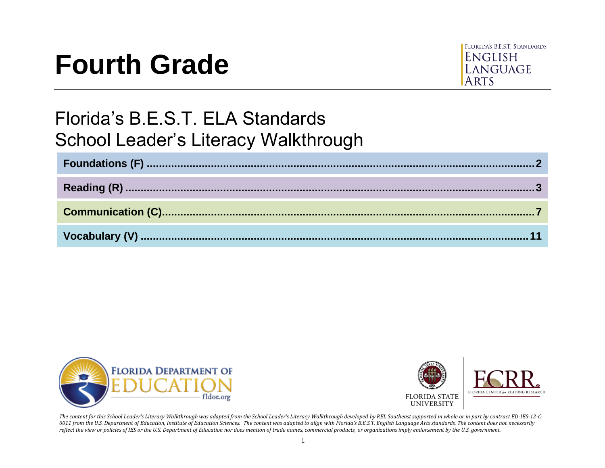# **Fourth Grade**



# Florida's B.E.S.T. ELA Standards School Leader's Literacy Walkthrough





*The content for this School Leader's Literacy Walkthrough was adapted from the School Leader's Literacy Walkthrough developed by REL Southeast supported in whole or in part by contract ED-IES-12-C-0011 from the U.S. Department of Education, Institute of Education Sciences. The content was adapted to align with Florida's B.E.S.T. English Language Arts standards. The content does not necessarily reflect the view or policies of IES or the U.S. Department of Education nor does mention of trade names, commercial products, or organizations imply endorsement by the U.S. government.*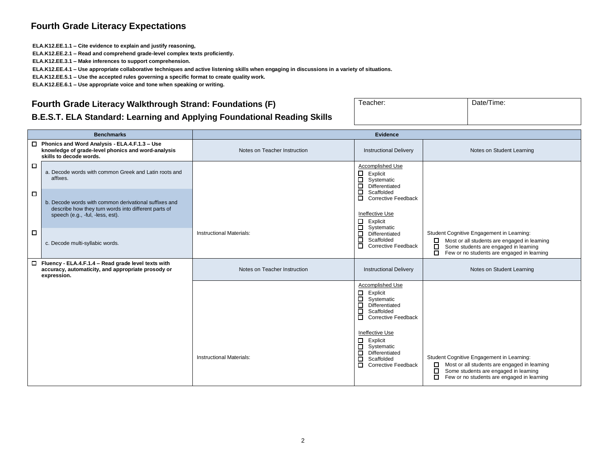#### **Fourth Grade Literacy Expectations**

**ELA.K12.EE.1.1 – Cite evidence to explain and justify reasoning,**

**ELA.K12.EE.2.1 – Read and comprehend grade-level complex texts proficiently.**

**ELA.K12.EE.3.1 – Make inferences to support comprehension.**

**ELA.K12.EE.4.1 – Use appropriate collaborative techniques and active listening skills when engaging in discussions in a variety of situations.**

**ELA.K12.EE.5.1 – Use the accepted rules governing a specific format to create quality work.**

**ELA.K12.EE.6.1 – Use appropriate voice and tone when speaking or writing.**

#### <span id="page-1-0"></span>**Fourth Grade Literacy Walkthrough Strand: Foundations (F)**

| undations (F)                      | Teacher: | Date/Time: |
|------------------------------------|----------|------------|
| <b>Foundational Reading Skills</b> |          |            |

#### **B.E.S.T. ELA Standard: Learning and Applying Foundation**

|        | <b>Benchmarks</b>                                                                                                                     | <b>Evidence</b>                 |                                                                                                                                                 |                                                                                                                                                                                                 |
|--------|---------------------------------------------------------------------------------------------------------------------------------------|---------------------------------|-------------------------------------------------------------------------------------------------------------------------------------------------|-------------------------------------------------------------------------------------------------------------------------------------------------------------------------------------------------|
|        | $\Box$ Phonics and Word Analysis - ELA.4.F.1.3 - Use<br>knowledge of grade-level phonics and word-analysis<br>skills to decode words. | Notes on Teacher Instruction    | <b>Instructional Delivery</b>                                                                                                                   | Notes on Student Learning                                                                                                                                                                       |
| $\Box$ | a. Decode words with common Greek and Latin roots and<br>affixes.                                                                     |                                 | Accomplished Use<br>□<br>Explicit<br>$\Box$<br>Systematic<br>Differentiated                                                                     |                                                                                                                                                                                                 |
| $\Box$ | b. Decode words with common derivational suffixes and<br>describe how they turn words into different parts of                         |                                 | ō<br>Scaffolded<br>□<br><b>Corrective Feedback</b>                                                                                              |                                                                                                                                                                                                 |
|        | speech (e.g., -ful, -less, est).                                                                                                      |                                 | Ineffective Use<br>□<br>Explicit<br>$\Box$<br>Systematic                                                                                        |                                                                                                                                                                                                 |
| □      | c. Decode multi-syllabic words.                                                                                                       | <b>Instructional Materials:</b> | Differentiated<br>$\Box$<br>Scaffolded<br>$\Box$<br><b>Corrective Feedback</b>                                                                  | Student Cognitive Engagement in Learning:<br>Most or all students are engaged in learning<br>0<br>□<br>Some students are engaged in learning<br>□<br>Few or no students are engaged in learning |
|        | $\Box$ Fluency - ELA.4.F.1.4 - Read grade level texts with<br>accuracy, automaticity, and appropriate prosody or<br>expression.       | Notes on Teacher Instruction    | <b>Instructional Delivery</b>                                                                                                                   | Notes on Student Learning                                                                                                                                                                       |
|        |                                                                                                                                       |                                 | Accomplished Use<br>Β<br>Explicit<br>Systematic<br>$\Box$<br>Differentiated<br>Scaffolded<br>□<br><b>Corrective Feedback</b><br>Ineffective Use |                                                                                                                                                                                                 |
|        |                                                                                                                                       | <b>Instructional Materials:</b> | □<br>Explicit<br>$\Box$<br>Systematic<br>$\Box$<br>Differentiated<br>□<br>Scaffolded<br>$\Box$<br><b>Corrective Feedback</b>                    | Student Cognitive Engagement in Learning:<br>Most or all students are engaged in learning<br>0<br>□<br>Some students are engaged in learning<br>□<br>Few or no students are engaged in learning |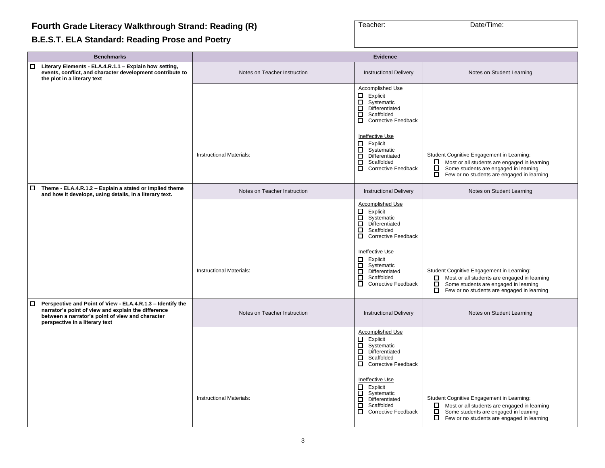# <span id="page-2-0"></span>**B.E.S.T. ELA Standard: Reading Prose and Poetry**

| Teacher: | Date/Time: |
|----------|------------|
|          |            |

| <b>Benchmarks</b>                                                                                                                                                                                       |                                 | <b>Evidence</b>                                                                                                                                                                                                       |                                                                                                                                                                                                          |
|---------------------------------------------------------------------------------------------------------------------------------------------------------------------------------------------------------|---------------------------------|-----------------------------------------------------------------------------------------------------------------------------------------------------------------------------------------------------------------------|----------------------------------------------------------------------------------------------------------------------------------------------------------------------------------------------------------|
| Literary Elements - ELA.4.R.1.1 - Explain how setting,<br>0<br>events, conflict, and character development contribute to<br>the plot in a literary text                                                 | Notes on Teacher Instruction    | <b>Instructional Delivery</b>                                                                                                                                                                                         | Notes on Student Learning                                                                                                                                                                                |
|                                                                                                                                                                                                         |                                 | Accomplished Use<br>$\Box$ Explicit<br>$\Box$ Systematic<br>$\Box$<br>Differentiated<br>$\Box$ Scaffolded<br>Corrective Feedback                                                                                      |                                                                                                                                                                                                          |
|                                                                                                                                                                                                         | <b>Instructional Materials:</b> | Ineffective Use<br>$\Box$ Explicit<br>$\Box$ Systematic<br>О.<br>Differentiated<br>$\Box$<br>Scaffolded<br>Corrective Feedback                                                                                        | Student Cognitive Engagement in Learning:<br>Most or all students are engaged in learning<br>□<br>Some students are engaged in learning<br>$\Box$ Few or no students are engaged in learning             |
| Theme - ELA.4.R.1.2 - Explain a stated or implied theme<br>0<br>and how it develops, using details, in a literary text.                                                                                 | Notes on Teacher Instruction    | <b>Instructional Delivery</b>                                                                                                                                                                                         | Notes on Student Learning                                                                                                                                                                                |
|                                                                                                                                                                                                         | Instructional Materials:        | Accomplished Use<br>$\Box$ Explicit<br>Systematic<br>$\Box$ Differentiated<br>$\Box$<br>Scaffolded<br>□ Corrective Feedback<br>Ineffective Use<br>$\Box$ Explicit<br>$\Box$<br>Systematic<br>$\Box$<br>Differentiated | Student Cognitive Engagement in Learning:                                                                                                                                                                |
|                                                                                                                                                                                                         |                                 | □<br>Scaffolded<br>$\Box$<br><b>Corrective Feedback</b>                                                                                                                                                               | $\Box$ Most or all students are engaged in learning<br>$\Box$<br>Some students are engaged in learning<br>$\Box$<br>Few or no students are engaged in learning                                           |
| Perspective and Point of View - ELA.4.R.1.3 - Identify the<br>narrator's point of view and explain the difference<br>between a narrator's point of view and character<br>perspective in a literary text | Notes on Teacher Instruction    | <b>Instructional Delivery</b>                                                                                                                                                                                         | Notes on Student Learning                                                                                                                                                                                |
|                                                                                                                                                                                                         |                                 | Accomplished Use<br>$\Box$<br>Explicit<br>$\Box$ Systematic<br>$\Box$<br>Differentiated<br>$\Box$<br>Scaffolded<br>□ Corrective Feedback                                                                              |                                                                                                                                                                                                          |
|                                                                                                                                                                                                         | <b>Instructional Materials:</b> | Ineffective Use<br>$\Box$ Explicit<br>Systematic<br>Differentiated<br>$\Box$<br>$\Box$<br>Scaffolded<br>$\Box$<br><b>Corrective Feedback</b>                                                                          | Student Cognitive Engagement in Learning:<br>$\Box$ Most or all students are engaged in learning<br>$\Box$<br>Some students are engaged in learning<br>$\Box$ Few or no students are engaged in learning |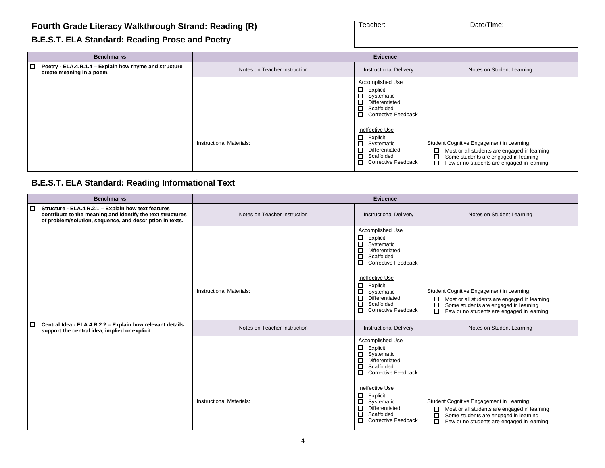| B.E.S.T. ELA Standard: Reading Prose and Poetry |  |  |
|-------------------------------------------------|--|--|
|-------------------------------------------------|--|--|

| <b>Benchmarks</b>                                                                          |                                 | Evidence                                                                                                                             |                                                                                                                                                                                                 |
|--------------------------------------------------------------------------------------------|---------------------------------|--------------------------------------------------------------------------------------------------------------------------------------|-------------------------------------------------------------------------------------------------------------------------------------------------------------------------------------------------|
| $\Box$ Poetry - ELA.4.R.1.4 – Explain how rhyme and structure<br>create meaning in a poem. | Notes on Teacher Instruction    | <b>Instructional Delivery</b>                                                                                                        | Notes on Student Learning                                                                                                                                                                       |
|                                                                                            |                                 | Accomplished Use<br>$\Box$ Explicit<br>о<br>Systematic<br>□<br>Differentiated<br>О<br>Scaffolded<br>П.<br><b>Corrective Feedback</b> |                                                                                                                                                                                                 |
|                                                                                            | <b>Instructional Materials:</b> | Ineffective Use<br>□<br>Explicit<br>□<br>Systematic<br>□<br>Differentiated<br>□<br>Scaffolded<br>0<br><b>Corrective Feedback</b>     | Student Cognitive Engagement in Learning:<br>□<br>Most or all students are engaged in learning<br>О<br>Some students are engaged in learning<br>□<br>Few or no students are engaged in learning |

Teacher: Date/Time:

# **B.E.S.T. ELA Standard: Reading Informational Text**

|        | <b>Benchmarks</b>                                                                                                                                                             |                              | <b>Evidence</b>                                                                                                                             |                                                                                                                                                                                                 |
|--------|-------------------------------------------------------------------------------------------------------------------------------------------------------------------------------|------------------------------|---------------------------------------------------------------------------------------------------------------------------------------------|-------------------------------------------------------------------------------------------------------------------------------------------------------------------------------------------------|
| □      | Structure - ELA.4.R.2.1 - Explain how text features<br>contribute to the meaning and identify the text structures<br>of problem/solution, sequence, and description in texts. | Notes on Teacher Instruction | <b>Instructional Delivery</b>                                                                                                               | Notes on Student Learning                                                                                                                                                                       |
|        |                                                                                                                                                                               |                              | Accomplished Use<br>$\Box$<br>Explicit<br>□<br>Systematic<br>Differentiated<br>□<br>Scaffolded<br>□<br>□<br>Corrective Feedback             |                                                                                                                                                                                                 |
|        |                                                                                                                                                                               | Instructional Materials:     | Ineffective Use<br>□<br>Explicit<br>□<br>Systematic<br>□<br>Differentiated<br>□<br>Scaffolded<br><b>Corrective Feedback</b><br>П.           | Student Cognitive Engagement in Learning:<br>Most or all students are engaged in learning<br>□<br>□<br>Some students are engaged in learning<br>П<br>Few or no students are engaged in learning |
| $\Box$ | Central Idea - ELA.4.R.2.2 - Explain how relevant details<br>support the central idea, implied or explicit.                                                                   | Notes on Teacher Instruction | <b>Instructional Delivery</b>                                                                                                               | Notes on Student Learning                                                                                                                                                                       |
|        |                                                                                                                                                                               |                              | Accomplished Use<br>$\Box$<br>Explicit<br>$\Box$<br>Systematic<br>□<br>Differentiated<br>口<br>Scaffolded<br>□<br><b>Corrective Feedback</b> |                                                                                                                                                                                                 |
|        |                                                                                                                                                                               | Instructional Materials:     | <b>Ineffective Use</b><br>$\Box$<br>Explicit<br>Systematic<br>□<br>Differentiated<br>□<br>Scaffolded<br>п<br><b>Corrective Feedback</b>     | Student Cognitive Engagement in Learning:<br>□<br>Most or all students are engaged in learning<br>□<br>Some students are engaged in learning<br>Few or no students are engaged in learning<br>□ |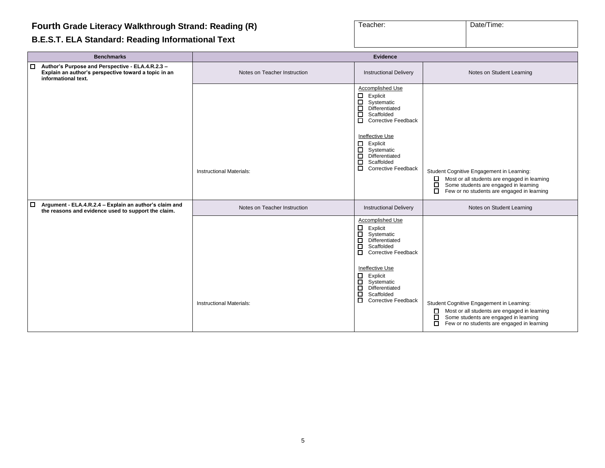# **B.E.S.T. ELA Standard: Reading Informational Text**

| Teacher: | Date/Time: |
|----------|------------|
|          |            |

|        | <b>Benchmarks</b>                                                                                                               | <b>Evidence</b>                 |                                                                                                                                                                                                                                                                                                  |                                                                                                                                                                                                           |
|--------|---------------------------------------------------------------------------------------------------------------------------------|---------------------------------|--------------------------------------------------------------------------------------------------------------------------------------------------------------------------------------------------------------------------------------------------------------------------------------------------|-----------------------------------------------------------------------------------------------------------------------------------------------------------------------------------------------------------|
| $\Box$ | Author's Purpose and Perspective - ELA.4.R.2.3 -<br>Explain an author's perspective toward a topic in an<br>informational text. | Notes on Teacher Instruction    | <b>Instructional Delivery</b>                                                                                                                                                                                                                                                                    | Notes on Student Learning                                                                                                                                                                                 |
|        |                                                                                                                                 | <b>Instructional Materials:</b> | <b>Accomplished Use</b><br>$\Box$ Explicit<br>$\Box$<br>Systematic<br>$\Box$ Differentiated<br>$\Box$<br>Scaffolded<br>Corrective Feedback<br>Ineffective Use<br>$\Box$ Explicit<br>Systematic<br>$\Box$ Differentiated<br>$\Box$<br>Scaffolded<br><b>Corrective Feedback</b><br>$\Box$          | Student Cognitive Engagement in Learning:<br>Most or all students are engaged in learning<br>Some students are engaged in learning<br>Few or no students are engaged in learning                          |
| $\Box$ | Argument - ELA.4.R.2.4 - Explain an author's claim and<br>the reasons and evidence used to support the claim.                   | Notes on Teacher Instruction    | <b>Instructional Delivery</b>                                                                                                                                                                                                                                                                    | Notes on Student Learning                                                                                                                                                                                 |
|        |                                                                                                                                 | <b>Instructional Materials:</b> | <b>Accomplished Use</b><br>$\Box$<br>Explicit<br>$\Box$<br>Systematic<br>$\Box$<br>Differentiated<br>о<br>Scaffolded<br>Corrective Feedback<br>Ineffective Use<br>$\Box$<br>Explicit<br>$\Box$<br>Systematic<br>$\Box$ Differentiated<br>ō<br>Scaffolded<br>$\Box$<br><b>Corrective Feedback</b> | Student Cognitive Engagement in Learning:<br>Most or all students are engaged in learning<br>□<br>$\Box$<br>Some students are engaged in learning<br>$\Box$<br>Few or no students are engaged in learning |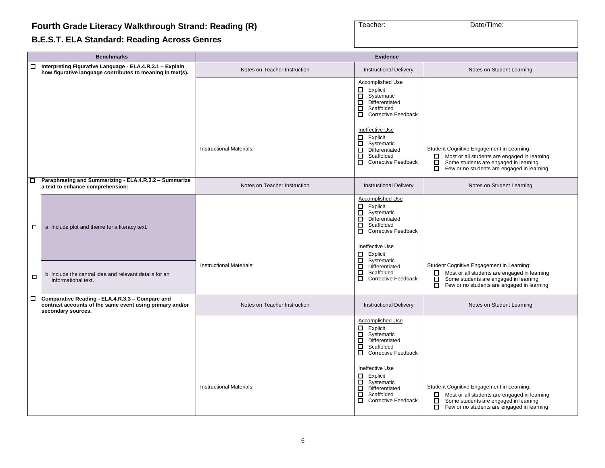# **B.E.S.T. ELA Standard: Reading Across Genres**

| Teacher: | Date/Time: |
|----------|------------|
|          |            |

|        | <b>Benchmarks</b>                                                                                                                 | <b>Evidence</b>                 |                                                                                                                                                                                                            |                                                                                                                                                                                                        |
|--------|-----------------------------------------------------------------------------------------------------------------------------------|---------------------------------|------------------------------------------------------------------------------------------------------------------------------------------------------------------------------------------------------------|--------------------------------------------------------------------------------------------------------------------------------------------------------------------------------------------------------|
| $\Box$ | Interpreting Figurative Language - ELA.4.R.3.1 - Explain<br>how figurative language contributes to meaning in text(s).            | Notes on Teacher Instruction    | <b>Instructional Delivery</b>                                                                                                                                                                              | Notes on Student Learning                                                                                                                                                                              |
|        |                                                                                                                                   |                                 | Accomplished Use<br>$\Box$ Explicit<br>Systematic<br>□<br>$\Box$<br>Differentiated<br>$\Box$<br>Scaffolded<br>Corrective Feedback                                                                          |                                                                                                                                                                                                        |
|        |                                                                                                                                   | Instructional Materials:        | Ineffective Use<br>$\Box$<br>Explicit<br>ō<br>Systematic<br>$\Box$<br>Differentiated<br>$\Box$<br>Scaffolded<br>□<br><b>Corrective Feedback</b>                                                            | Student Cognitive Engagement in Learning:<br>Most or all students are engaged in learning<br>$\Box$<br>Some students are engaged in learning<br>О.<br>П.<br>Few or no students are engaged in learning |
| $\Box$ | Paraphrasing and Summarizing - ELA.4.R.3.2 - Summarize<br>a text to enhance comprehension:                                        | Notes on Teacher Instruction    | <b>Instructional Delivery</b>                                                                                                                                                                              | Notes on Student Learning                                                                                                                                                                              |
| □      | a. Include plot and theme for a literacy text.                                                                                    | <b>Instructional Materials:</b> | Accomplished Use<br>$\Box$ Explicit<br>$\Box$<br>Systematic<br>$\Box$<br>Differentiated<br>□<br>Scaffolded<br>Corrective Feedback<br>Ineffective Use<br>Explicit<br>□<br>Systematic<br>□<br>Differentiated | Student Cognitive Engagement in Learning:                                                                                                                                                              |
| □      | b. Include the central idea and relevant details for an<br>informational text.                                                    |                                 | $\Box$<br>Scaffolded<br>П<br><b>Corrective Feedback</b>                                                                                                                                                    | Most or all students are engaged in learning<br>О.<br>$\Box$<br>Some students are engaged in learning<br>$\Box$<br>Few or no students are engaged in learning                                          |
| $\Box$ | Comparative Reading - ELA.4.R.3.3 - Compare and<br>contrast accounts of the same event using primary and/or<br>secondary sources. | Notes on Teacher Instruction    | <b>Instructional Delivery</b>                                                                                                                                                                              | Notes on Student Learning                                                                                                                                                                              |
|        |                                                                                                                                   |                                 | <b>Accomplished Use</b><br>$\Box$ Explicit<br>□<br>Systematic<br>$\Box$<br>Differentiated<br>$\Box$<br>Scaffolded<br>$\Box$<br><b>Corrective Feedback</b>                                                  |                                                                                                                                                                                                        |
|        |                                                                                                                                   | <b>Instructional Materials:</b> | Ineffective Use<br>□<br>Explicit<br>$\Box$<br>Systematic<br>$\Box$<br>Differentiated<br>о<br>Scaffolded<br>О.<br><b>Corrective Feedback</b>                                                                | Student Cognitive Engagement in Learning:<br>Most or all students are engaged in learning<br>0.<br>0<br>Some students are engaged in learning<br>Few or no students are engaged in learning            |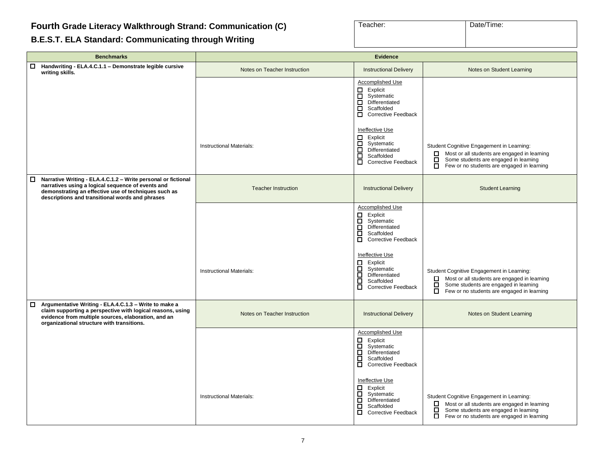<span id="page-6-0"></span>**B.E.S.T. ELA Standard: Communicating through Writing**

| Teacher: | Date/Time: |
|----------|------------|
|          |            |

| <b>Benchmarks</b>                                                                                                                                                                                                                       | <b>Evidence</b>                 |                                                                                                                                                                |                                                                                                                                                                                                            |
|-----------------------------------------------------------------------------------------------------------------------------------------------------------------------------------------------------------------------------------------|---------------------------------|----------------------------------------------------------------------------------------------------------------------------------------------------------------|------------------------------------------------------------------------------------------------------------------------------------------------------------------------------------------------------------|
| $\Box$<br>Handwriting - ELA.4.C.1.1 - Demonstrate legible cursive<br>writing skills.                                                                                                                                                    | Notes on Teacher Instruction    | <b>Instructional Delivery</b>                                                                                                                                  | Notes on Student Learning                                                                                                                                                                                  |
|                                                                                                                                                                                                                                         |                                 | Accomplished Use<br>Explicit<br>8<br>9<br>Systematic<br>Differentiated<br>8<br>Scaffolded<br>Corrective Feedback                                               |                                                                                                                                                                                                            |
|                                                                                                                                                                                                                                         | <b>Instructional Materials:</b> | Ineffective Use<br>Explicit<br>□<br>ō<br>Systematic<br>$\Box$<br>Differentiated<br>□<br>Scaffolded<br>$\Box$<br><b>Corrective Feedback</b>                     | Student Cognitive Engagement in Learning:<br>Most or all students are engaged in learning<br>$\Box$<br>$\Box$<br>Some students are engaged in learning<br>Few or no students are engaged in learning<br>П. |
| Narrative Writing - ELA.4.C.1.2 - Write personal or fictional<br>$\Box$<br>narratives using a logical sequence of events and<br>demonstrating an effective use of techniques such as<br>descriptions and transitional words and phrases | <b>Teacher Instruction</b>      | <b>Instructional Delivery</b>                                                                                                                                  | <b>Student Learning</b>                                                                                                                                                                                    |
|                                                                                                                                                                                                                                         |                                 | Accomplished Use<br>$\overline{\mathsf{B}}$<br>Explicit<br>Systematic<br>Ē<br>Differentiated<br>Scaffolded<br>$\Box$<br><b>Corrective Feedback</b>             |                                                                                                                                                                                                            |
|                                                                                                                                                                                                                                         | Instructional Materials:        | Ineffective Use<br>Explicit<br>$\begin{array}{c} \Xi \\ \Xi \end{array}$<br>Systematic<br>Differentiated<br>ō<br>Scaffolded<br>ō<br><b>Corrective Feedback</b> | Student Cognitive Engagement in Learning:<br>Most or all students are engaged in learning<br>$\Box$<br>Some students are engaged in learning<br>$\Box$ Few or no students are engaged in learning          |
| Argumentative Writing - ELA.4.C.1.3 - Write to make a<br>□<br>claim supporting a perspective with logical reasons, using<br>evidence from multiple sources, elaboration, and an<br>organizational structure with transitions.           | Notes on Teacher Instruction    | <b>Instructional Delivery</b>                                                                                                                                  | Notes on Student Learning                                                                                                                                                                                  |
|                                                                                                                                                                                                                                         |                                 | Accomplished Use<br>Explicit<br>О<br>Systematic<br>$\Box$<br>Differentiated<br>$\Box$<br>Scaffolded<br>$\Box$<br><b>Corrective Feedback</b>                    |                                                                                                                                                                                                            |
|                                                                                                                                                                                                                                         | <b>Instructional Materials:</b> | Ineffective Use<br>□<br>Explicit<br>$\Box$<br>Systematic<br>$\Box$<br>Differentiated<br>$\Box$<br>Scaffolded<br>□<br><b>Corrective Feedback</b>                | Student Cognitive Engagement in Learning:<br>Most or all students are engaged in learning<br>0<br>О<br>Some students are engaged in learning<br>□<br>Few or no students are engaged in learning            |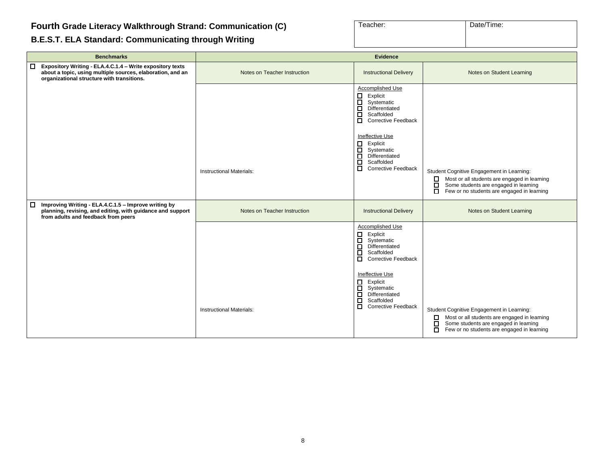#### **B.E.S.T. ELA Standard: Communicating through Writing**

| Teacher: | Date/Time: |  |
|----------|------------|--|
|          |            |  |
|          |            |  |

| <b>Benchmarks</b>                                                                                                                                                       | <b>Evidence</b>                 |                                                                                                                                                                                                                                                                                                                   |                                                                                                                                                                                                           |
|-------------------------------------------------------------------------------------------------------------------------------------------------------------------------|---------------------------------|-------------------------------------------------------------------------------------------------------------------------------------------------------------------------------------------------------------------------------------------------------------------------------------------------------------------|-----------------------------------------------------------------------------------------------------------------------------------------------------------------------------------------------------------|
| □ Expository Writing - ELA.4.C.1.4 - Write expository texts<br>about a topic, using multiple sources, elaboration, and an<br>organizational structure with transitions. | Notes on Teacher Instruction    | <b>Instructional Delivery</b>                                                                                                                                                                                                                                                                                     | Notes on Student Learning                                                                                                                                                                                 |
|                                                                                                                                                                         | <b>Instructional Materials:</b> | Accomplished Use<br>$\Box$<br>Explicit<br>О<br>Systematic<br>$\Box$<br>Differentiated<br>$\Box$<br>Scaffolded<br><b>Corrective Feedback</b><br>$\Box$<br><b>Ineffective Use</b><br>$\Box$ Explicit<br>ō<br>Systematic<br>$\Box$<br>Differentiated<br>$\Box$<br>Scaffolded<br>$\Box$<br><b>Corrective Feedback</b> | Student Cognitive Engagement in Learning:<br>Most or all students are engaged in learning<br>□<br>Some students are engaged in learning<br>Few or no students are engaged in learning<br>□                |
| $\Box$<br>Improving Writing - ELA.4.C.1.5 - Improve writing by<br>planning, revising, and editing, with guidance and support<br>from adults and feedback from peers     | Notes on Teacher Instruction    | <b>Instructional Delivery</b>                                                                                                                                                                                                                                                                                     | Notes on Student Learning                                                                                                                                                                                 |
|                                                                                                                                                                         | <b>Instructional Materials:</b> | Accomplished Use<br>$\Box$<br>Explicit<br>$\Box$<br>Systematic<br>$\Box$<br>Differentiated<br>ō<br>Scaffolded<br>□<br><b>Corrective Feedback</b><br>Ineffective Use<br>$\Box$ Explicit<br>Systematic<br>$\Box$<br>Differentiated<br>$\Box$<br>Scaffolded<br>$\Box$<br><b>Corrective Feedback</b>                  | Student Cognitive Engagement in Learning:<br>Most or all students are engaged in learning<br>$\Box$<br>Some students are engaged in learning<br>□<br>Few or no students are engaged in learning<br>$\Box$ |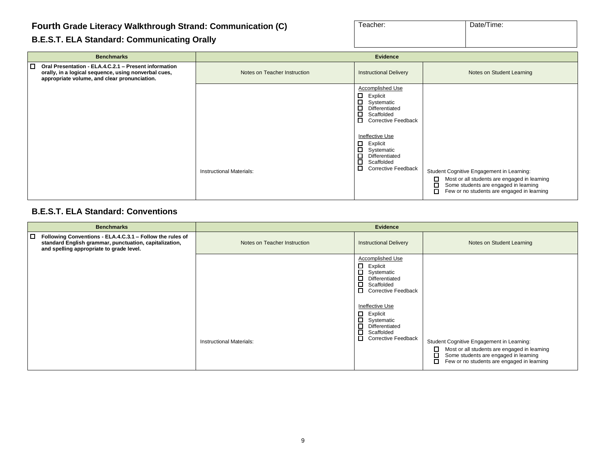| Teacher: | Date/Time: |
|----------|------------|
|          |            |
|          |            |

#### **B.E.S.T. ELA Standard: Communicating Orally**

| <b>Benchmarks</b>                                                                                                                                                  | <b>Evidence</b>              |                                                                                                                                                                                                                                                                                     |                                                                                                                                                                                                 |
|--------------------------------------------------------------------------------------------------------------------------------------------------------------------|------------------------------|-------------------------------------------------------------------------------------------------------------------------------------------------------------------------------------------------------------------------------------------------------------------------------------|-------------------------------------------------------------------------------------------------------------------------------------------------------------------------------------------------|
| □<br>Oral Presentation - ELA.4.C.2.1 - Present information<br>orally, in a logical sequence, using nonverbal cues,<br>appropriate volume, and clear pronunciation. | Notes on Teacher Instruction | <b>Instructional Delivery</b>                                                                                                                                                                                                                                                       | Notes on Student Learning                                                                                                                                                                       |
|                                                                                                                                                                    | Instructional Materials:     | <b>Accomplished Use</b><br>□<br>Explicit<br>□<br>Systematic<br>□<br>Differentiated<br>□<br>Scaffolded<br>□<br><b>Corrective Feedback</b><br><b>Ineffective Use</b><br>□<br>Explicit<br>□<br>Systematic<br>□<br>Differentiated<br>□<br>Scaffolded<br>□<br><b>Corrective Feedback</b> | Student Cognitive Engagement in Learning:<br>□<br>Most or all students are engaged in learning<br>口<br>Some students are engaged in learning<br>О<br>Few or no students are engaged in learning |

#### **B.E.S.T. ELA Standard: Conventions**

| <b>Benchmarks</b>                                                                                                                                                    | <b>Evidence</b>                 |                                                                                                                                                                                                                                                                                |                                                                                                                                                                                                      |
|----------------------------------------------------------------------------------------------------------------------------------------------------------------------|---------------------------------|--------------------------------------------------------------------------------------------------------------------------------------------------------------------------------------------------------------------------------------------------------------------------------|------------------------------------------------------------------------------------------------------------------------------------------------------------------------------------------------------|
| □<br>Following Conventions - ELA.4.C.3.1 - Follow the rules of<br>standard English grammar, punctuation, capitalization,<br>and spelling appropriate to grade level. | Notes on Teacher Instruction    | <b>Instructional Delivery</b>                                                                                                                                                                                                                                                  | Notes on Student Learning                                                                                                                                                                            |
|                                                                                                                                                                      | <b>Instructional Materials:</b> | Accomplished Use<br>$\Box$ Explicit<br>$\Box$<br>Systematic<br>Ω.<br>Differentiated<br>П<br>Scaffolded<br>Corrective Feedback<br>Ineffective Use<br>$\Box$ Explicit<br>$\Box$<br>Systematic<br>$\Box$<br>Differentiated<br>О<br>Scaffolded<br>П.<br><b>Corrective Feedback</b> | Student Cognitive Engagement in Learning:<br>$\Box$<br>Most or all students are engaged in learning<br>□<br>Some students are engaged in learning<br>□<br>Few or no students are engaged in learning |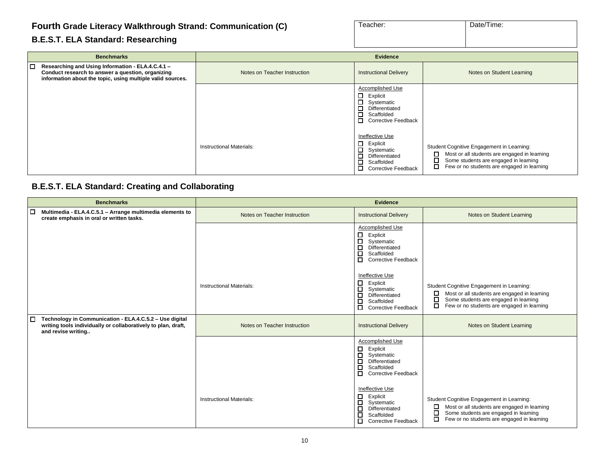#### **B.E.S.T. ELA Standard: Researching**

| Teacher: | Date/Time: |
|----------|------------|
|          |            |
|          |            |

|   | <b>Benchmarks</b>                                                                                                                                                    | <b>Evidence</b>                 |                                                                                                                                      |                                                                                                                                                                                                 |
|---|----------------------------------------------------------------------------------------------------------------------------------------------------------------------|---------------------------------|--------------------------------------------------------------------------------------------------------------------------------------|-------------------------------------------------------------------------------------------------------------------------------------------------------------------------------------------------|
| □ | Researching and Using Information - ELA.4.C.4.1 -<br>Conduct research to answer a question, organizing<br>information about the topic, using multiple valid sources. | Notes on Teacher Instruction    | <b>Instructional Delivery</b>                                                                                                        | Notes on Student Learning                                                                                                                                                                       |
|   |                                                                                                                                                                      |                                 | Accomplished Use<br>$\Box$ Explicit<br>Systematic<br>$\Box$ Differentiated<br>$\Box$ Scaffolded<br>Corrective Feedback               |                                                                                                                                                                                                 |
|   |                                                                                                                                                                      | <b>Instructional Materials:</b> | Ineffective Use<br>$\Box$ Explicit<br>Systematic<br>$\Box$ Differentiated<br>0<br>Scaffolded<br>$\Box$<br><b>Corrective Feedback</b> | Student Cognitive Engagement in Learning:<br>о<br>Most or all students are engaged in learning<br>□<br>Some students are engaged in learning<br>□<br>Few or no students are engaged in learning |

#### **B.E.S.T. ELA Standard: Creating and Collaborating**

| <b>Benchmarks</b>                                                                                                                                        | <b>Evidence</b>                 |                                                                                                                                                                                                                                                                   |                                                                                                                                                                                                 |
|----------------------------------------------------------------------------------------------------------------------------------------------------------|---------------------------------|-------------------------------------------------------------------------------------------------------------------------------------------------------------------------------------------------------------------------------------------------------------------|-------------------------------------------------------------------------------------------------------------------------------------------------------------------------------------------------|
| □<br>Multimedia - ELA.4.C.5.1 - Arrange multimedia elements to<br>create emphasis in oral or written tasks.                                              | Notes on Teacher Instruction    | <b>Instructional Delivery</b>                                                                                                                                                                                                                                     | Notes on Student Learning                                                                                                                                                                       |
|                                                                                                                                                          |                                 | Accomplished Use<br>□<br>Explicit<br>Д<br>Systematic<br>П<br>Differentiated<br>$\Box$<br>Scaffolded<br>□<br><b>Corrective Feedback</b>                                                                                                                            |                                                                                                                                                                                                 |
|                                                                                                                                                          | <b>Instructional Materials:</b> | Ineffective Use<br>□<br>Explicit<br>日日<br>Systematic<br>Differentiated<br>Scaffolded<br>□<br><b>Corrective Feedback</b>                                                                                                                                           | Student Cognitive Engagement in Learning:<br>Most or all students are engaged in learning<br>□<br>□<br>Some students are engaged in learning<br>□<br>Few or no students are engaged in learning |
| $\Box$<br>Technology in Communication - ELA.4.C.5.2 - Use digital<br>writing tools individually or collaboratively to plan, draft,<br>and revise writing | Notes on Teacher Instruction    | <b>Instructional Delivery</b>                                                                                                                                                                                                                                     | Notes on Student Learning                                                                                                                                                                       |
|                                                                                                                                                          | <b>Instructional Materials:</b> | Accomplished Use<br>Explicit<br>П<br>Systematic<br>$\Box$<br>Differentiated<br>$\Box$<br>Scaffolded<br>□<br><b>Corrective Feedback</b><br>Ineffective Use<br>88<br>8<br>Explicit<br>Systematic<br>Differentiated<br>目<br>Scaffolded<br><b>Corrective Feedback</b> | Student Cognitive Engagement in Learning:<br>Most or all students are engaged in learning<br>□<br>□<br>Some students are engaged in learning<br>◻<br>Few or no students are engaged in learning |